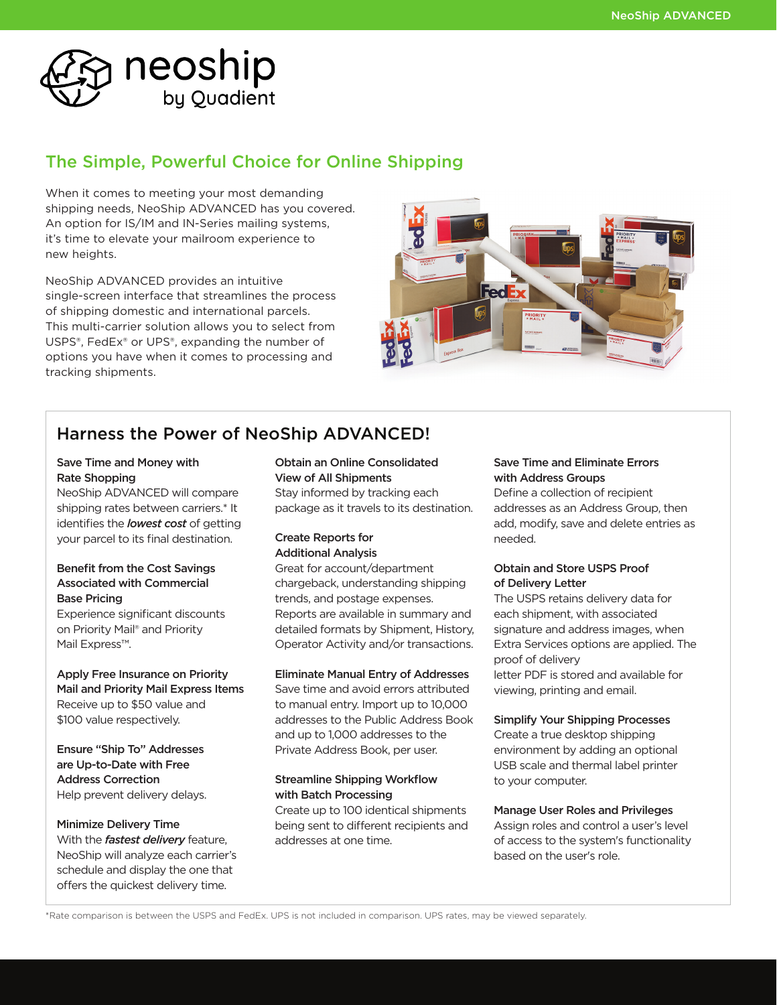

# The Simple, Powerful Choice for Online Shipping

When it comes to meeting your most demanding shipping needs, NeoShip ADVANCED has you covered. An option for IS/IM and IN-Series mailing systems, it's time to elevate your mailroom experience to new heights.

NeoShip ADVANCED provides an intuitive single-screen interface that streamlines the process of shipping domestic and international parcels. This multi-carrier solution allows you to select from USPS®, FedEx® or UPS®, expanding the number of options you have when it comes to processing and tracking shipments.



# Harness the Power of NeoShip ADVANCED!

### Save Time and Money with Rate Shopping

NeoShip ADVANCED will compare shipping rates between carriers.\* It identifies the *lowest cost* of getting your parcel to its final destination.

# Benefit from the Cost Savings Associated with Commercial Base Pricing

Experience significant discounts on Priority Mail® and Priority Mail Express™.

Apply Free Insurance on Priority Mail and Priority Mail Express Items Receive up to \$50 value and \$100 value respectively.

Ensure "Ship To" Addresses are Up-to-Date with Free Address Correction Help prevent delivery delays.

### Minimize Delivery Time

With the *fastest delivery* feature, NeoShip will analyze each carrier's schedule and display the one that offers the quickest delivery time.

#### Obtain an Online Consolidated View of All Shipments

Stay informed by tracking each package as it travels to its destination.

### Create Reports for Additional Analysis

Great for account/department chargeback, understanding shipping trends, and postage expenses. Reports are available in summary and detailed formats by Shipment, History, Operator Activity and/or transactions.

### Eliminate Manual Entry of Addresses

Save time and avoid errors attributed to manual entry. Import up to 10,000 addresses to the Public Address Book and up to 1,000 addresses to the Private Address Book, per user.

### Streamline Shipping Workflow with Batch Processing

Create up to 100 identical shipments being sent to different recipients and addresses at one time.

# Save Time and Eliminate Errors with Address Groups

Define a collection of recipient addresses as an Address Group, then add, modify, save and delete entries as needed.

### Obtain and Store USPS Proof of Delivery Letter

The USPS retains delivery data for each shipment, with associated signature and address images, when Extra Services options are applied. The proof of delivery letter PDF is stored and available for viewing, printing and email.

### Simplify Your Shipping Processes

Create a true desktop shipping environment by adding an optional USB scale and thermal label printer to your computer.

### Manage User Roles and Privileges

Assign roles and control a user's level of access to the system's functionality based on the user's role.